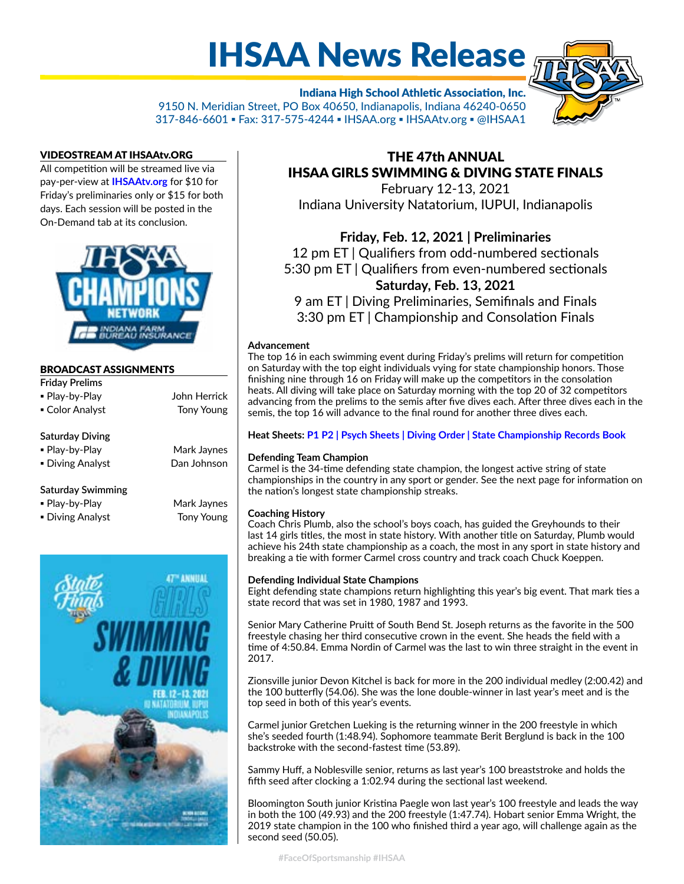# IHSAA News Release

Indiana High School Athletic Association, Inc. 9150 N. Meridian Street, PO Box 40650, Indianapolis, Indiana 46240-0650 317-846-6601 ▪ Fax: 317-575-4244 ▪ IHSAA.org ▪ IHSAAtv.org ▪ @IHSAA1



# VIDEOSTREAM AT IHSAAtv.ORG

All competition will be streamed live via pay-per-view at **[IHSAAtv.org](https://www.ihsaatv.org/)** for \$10 for Friday's preliminaries only or \$15 for both days. Each session will be posted in the On-Demand tab at its conclusion.



# BROADCAST ASSIGNMENTS

| John Herrick      |
|-------------------|
| <b>Tony Young</b> |
|                   |
|                   |
| Mark Jaynes       |
| Dan Johnson       |
|                   |
|                   |
|                   |

# **Saturday Swimming**

| ■ Play-by-Play   | Mark Jaynes |
|------------------|-------------|
| • Diving Analyst | Tony Young  |



# THE 47th ANNUAL IHSAA GIRLS SWIMMING & DIVING STATE FINALS

February 12-13, 2021 Indiana University Natatorium, IUPUI, Indianapolis

**Friday, Feb. 12, 2021 | Preliminaries** 12 pm ET | Qualifiers from odd-numbered sectionals 5:30 pm ET | Qualifiers from even-numbered sectionals **Saturday, Feb. 13, 2021** 

9 am ET | Diving Preliminaries, Semifinals and Finals 3:30 pm ET | Championship and Consolation Finals

# **Advancement**

The top 16 in each swimming event during Friday's prelims will return for competition on Saturday with the top eight individuals vying for state championship honors. Those finishing nine through 16 on Friday will make up the competitors in the consolation heats. All diving will take place on Saturday morning with the top 20 of 32 competitors advancing from the prelims to the semis after five dives each. After three dives each in the semis, the top 16 will advance to the final round for another three dives each.

**Heat Sheets: [P1](http://www.ihsaa.org/Portals/0/girls%20sports/girls%20swimming/2020-21/202021%20Heat%20Sheets%201.pdf) [P2](http://www.ihsaa.org/Portals/0/girls%20sports/girls%20swimming/2020-21/202021%20Heat%20Sheets%202.pdf) | [Psych Sheets](http://www.ihsaa.org/Portals/0/girls%20sports/girls%20swimming/2020-21/202021PsychSheets.pdf) | [Diving Order](http://www.ihsaa.org/Portals/0/girls%20sports/girls%20swimming/2020-21/202021DiveOrder.pdf) | [State Championship Records Book](https://www.ihsaa.org/Portals/0/girls%20sports/girls%20swimming/Girls%20Swimming%20Records%20Book.pdf)**

# **Defending Team Champion**

Carmel is the 34-time defending state champion, the longest active string of state championships in the country in any sport or gender. See the next page for information on the nation's longest state championship streaks.

# **Coaching History**

Coach Chris Plumb, also the school's boys coach, has guided the Greyhounds to their last 14 girls titles, the most in state history. With another title on Saturday, Plumb would achieve his 24th state championship as a coach, the most in any sport in state history and breaking a tie with former Carmel cross country and track coach Chuck Koeppen.

## **Defending Individual State Champions**

Eight defending state champions return highlighting this year's big event. That mark ties a state record that was set in 1980, 1987 and 1993.

Senior Mary Catherine Pruitt of South Bend St. Joseph returns as the favorite in the 500 freestyle chasing her third consecutive crown in the event. She heads the field with a time of 4:50.84. Emma Nordin of Carmel was the last to win three straight in the event in 2017.

Zionsville junior Devon Kitchel is back for more in the 200 individual medley (2:00.42) and the 100 butterfly (54.06). She was the lone double-winner in last year's meet and is the top seed in both of this year's events.

Carmel junior Gretchen Lueking is the returning winner in the 200 freestyle in which she's seeded fourth (1:48.94). Sophomore teammate Berit Berglund is back in the 100 backstroke with the second-fastest time (53.89).

Sammy Huff, a Noblesville senior, returns as last year's 100 breaststroke and holds the fifth seed after clocking a 1:02.94 during the sectional last weekend.

Bloomington South junior Kristina Paegle won last year's 100 freestyle and leads the way in both the 100 (49.93) and the 200 freestyle (1:47.74). Hobart senior Emma Wright, the 2019 state champion in the 100 who finished third a year ago, will challenge again as the second seed (50.05).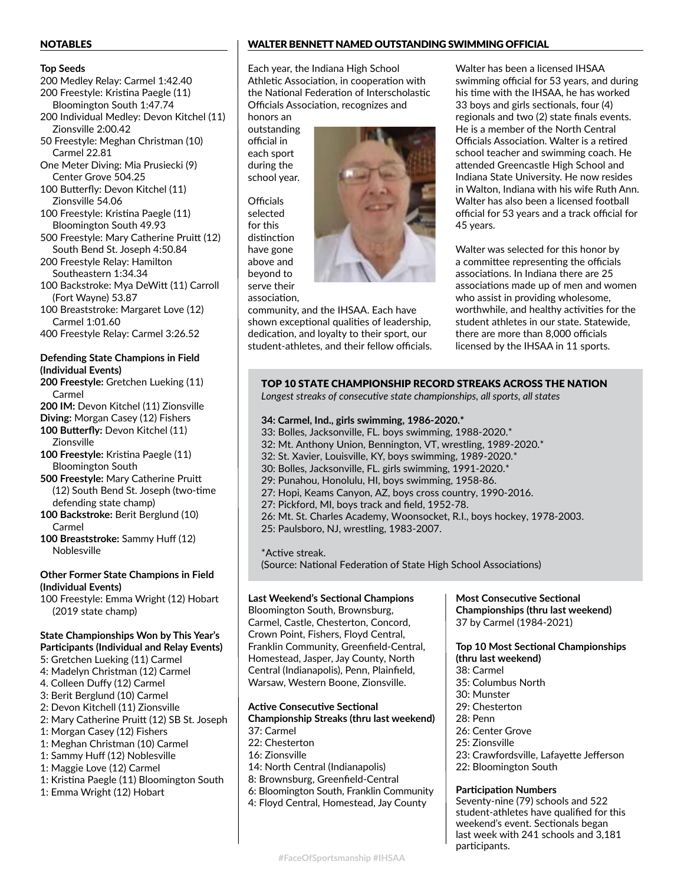# NOTABLES

#### **Top Seeds**

- 200 Medley Relay: Carmel 1:42.40 200 Freestyle: Kristina Paegle (11)
- Bloomington South 1:47.74 200 Individual Medley: Devon Kitchel (11) Zionsville 2:00.42
- 50 Freestyle: Meghan Christman (10) Carmel 22.81
- One Meter Diving: Mia Prusiecki (9) Center Grove 504.25
- 100 Butterfly: Devon Kitchel (11) Zionsville 54.06
- 100 Freestyle: Kristina Paegle (11) Bloomington South 49.93
- 500 Freestyle: Mary Catherine Pruitt (12) South Bend St. Joseph 4:50.84
- 200 Freestyle Relay: Hamilton Southeastern 1:34.34
- 100 Backstroke: Mya DeWitt (11) Carroll (Fort Wayne) 53.87
- 100 Breaststroke: Margaret Love (12) Carmel 1:01.60
- 400 Freestyle Relay: Carmel 3:26.52

## **Defending State Champions in Field (Individual Events)**

- **200 Freestyle:** Gretchen Lueking (11) Carmel
- **200 IM:** Devon Kitchel (11) Zionsville
- **Diving:** Morgan Casey (12) Fishers
- **100 Butterfly:** Devon Kitchel (11) Zionsville
- **100 Freestyle:** Kristina Paegle (11) Bloomington South
- **500 Freestyle:** Mary Catherine Pruitt (12) South Bend St. Joseph (two-time defending state champ)
- **100 Backstroke:** Berit Berglund (10) Carmel
- **100 Breaststroke:** Sammy Huff (12) Noblesville

#### **Other Former State Champions in Field (Individual Events)**

100 Freestyle: Emma Wright (12) Hobart (2019 state champ)

# **State Championships Won by This Year's Participants (Individual and Relay Events)**

- 5: Gretchen Lueking (11) Carmel
- 4: Madelyn Christman (12) Carmel
- 4. Colleen Duffy (12) Carmel
- 3: Berit Berglund (10) Carmel 2: Devon Kitchell (11) Zionsville
- 2: Mary Catherine Pruitt (12) SB St. Joseph
- 1: Morgan Casey (12) Fishers
- 1: Meghan Christman (10) Carmel
- 1: Sammy Huff (12) Noblesville
- 1: Maggie Love (12) Carmel
- 1: Kristina Paegle (11) Bloomington South
- 1: Emma Wright (12) Hobart

# WALTER BENNETT NAMED OUTSTANDING SWIMMING OFFICIAL

Each year, the Indiana High School Athletic Association, in cooperation with the National Federation of Interscholastic Officials Association, recognizes and

honors an outstanding official in each sport during the school year.

**Officials** selected for this distinction have gone above and beyond to serve their association,

community, and the IHSAA. Each have shown exceptional qualities of leadership, dedication, and loyalty to their sport, our student-athletes, and their fellow officials. Walter has been a licensed IHSAA swimming official for 53 years, and during his time with the IHSAA, he has worked 33 boys and girls sectionals, four (4) regionals and two (2) state finals events. He is a member of the North Central Officials Association. Walter is a retired school teacher and swimming coach. He attended Greencastle High School and Indiana State University. He now resides in Walton, Indiana with his wife Ruth Ann. Walter has also been a licensed football official for 53 years and a track official for 45 years.

Walter was selected for this honor by a committee representing the officials associations. In Indiana there are 25 associations made up of men and women who assist in providing wholesome, worthwhile, and healthy activities for the student athletes in our state. Statewide, there are more than 8,000 officials licensed by the IHSAA in 11 sports.

# TOP 10 STATE CHAMPIONSHIP RECORD STREAKS ACROSS THE NATION

*Longest streaks of consecutive state championships, all sports, all states*

## **34: Carmel, Ind., girls swimming, 1986-2020.\***

- 33: Bolles, Jacksonville, FL. boys swimming, 1988-2020.\*
- 32: Mt. Anthony Union, Bennington, VT, wrestling, 1989-2020.\*
- 32: St. Xavier, Louisville, KY, boys swimming, 1989-2020.\*
- 30: Bolles, Jacksonville, FL. girls swimming, 1991-2020.\*
- 29: Punahou, Honolulu, HI, boys swimming, 1958-86.
- 27: Hopi, Keams Canyon, AZ, boys cross country, 1990-2016.
- 27: Pickford, MI, boys track and field, 1952-78.
- 26: Mt. St. Charles Academy, Woonsocket, R.I., boys hockey, 1978-2003.
- 25: Paulsboro, NJ, wrestling, 1983-2007.

\*Active streak. (Source: National Federation of State High School Associations)

## **Last Weekend's Sectional Champions**

Bloomington South, Brownsburg, Carmel, Castle, Chesterton, Concord, Crown Point, Fishers, Floyd Central, Franklin Community, Greenfield-Central, Homestead, Jasper, Jay County, North Central (Indianapolis), Penn, Plainfield, Warsaw, Western Boone, Zionsville.

## **Active Consecutive Sectional**

**Championship Streaks (thru last weekend)** 37: Carmel

- 22: Chesterton
- 16: Zionsville
- 14: North Central (Indianapolis)
- 8: Brownsburg, Greenfield-Central
- 6: Bloomington South, Franklin Community
- 4: Floyd Central, Homestead, Jay County

**Most Consecutive Sectional Championships (thru last weekend)** 37 by Carmel (1984-2021)

# **Top 10 Most Sectional Championships**

**(thru last weekend)** 38: Carmel 35: Columbus North 30: Munster 29: Chesterton 28: Penn 26: Center Grove 25: Zionsville 23: Crawfordsville, Lafayette Jefferson 22: Bloomington South

# **Participation Numbers**

Seventy-nine (79) schools and 522 student-athletes have qualified for this weekend's event. Sectionals began last week with 241 schools and 3,181 participants.